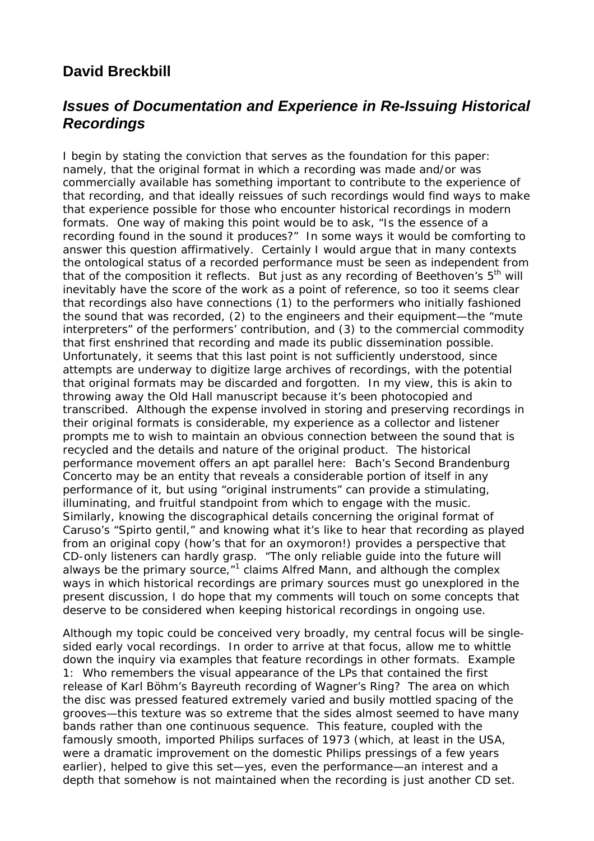## **David Breckbill**

## *Issues of Documentation and Experience in Re-Issuing Historical Recordings*

I begin by stating the conviction that serves as the foundation for this paper: namely, that the original format in which a recording was made and/or was commercially available has something important to contribute to the experience of that recording, and that ideally reissues of such recordings would find ways to make that experience possible for those who encounter historical recordings in modern formats. One way of making this point would be to ask, "Is the essence of a recording found in the sound it produces?" In some ways it would be comforting to answer this question affirmatively. Certainly I would argue that in many contexts the ontological status of a recorded performance must be seen as independent from that of the composition it reflects. But just as any recording of Beethoven's  $5<sup>th</sup>$  will inevitably have the score of the work as a point of reference, so too it seems clear that recordings also have connections (1) to the performers who initially fashioned the sound that was recorded, (2) to the engineers and their equipment—the "mute interpreters" of the performers' contribution, and (3) to the commercial commodity that first enshrined that recording and made its public dissemination possible. Unfortunately, it seems that this last point is not sufficiently understood, since attempts are underway to digitize large archives of recordings, with the potential that original formats may be discarded and forgotten. In my view, this is akin to throwing away the Old Hall manuscript because it's been photocopied and transcribed. Although the expense involved in storing and preserving recordings in their original formats is considerable, my experience as a collector and listener prompts me to wish to maintain an obvious connection between the sound that is recycled and the details and nature of the original product. The historical performance movement offers an apt parallel here: Bach's Second Brandenburg Concerto may be an entity that reveals a considerable portion of itself in any performance of it, but using "original instruments" can provide a stimulating, illuminating, and fruitful standpoint from which to engage with the music. Similarly, knowing the discographical details concerning the original format of Caruso's "Spirto gentil," and knowing what it's like to hear that recording as played from an original copy (how's that for an oxymoron!) provides a perspective that CD-only listeners can hardly grasp. "The only reliable guide into the future will always be the primary source,"<sup>1</sup> claims Alfred Mann, and although the complex ways in which historical recordings are primary sources must go unexplored in the present discussion, I do hope that my comments will touch on some concepts that deserve to be considered when keeping historical recordings in ongoing use.

Although my topic could be conceived very broadly, my central focus will be singlesided early vocal recordings. In order to arrive at that focus, allow me to whittle down the inquiry via examples that feature recordings in other formats. Example 1: Who remembers the visual appearance of the LPs that contained the first release of Karl Böhm's Bayreuth recording of Wagner's *Ring*? The area on which the disc was pressed featured extremely varied and busily mottled spacing of the grooves—this texture was so extreme that the sides almost seemed to have many bands rather than one continuous sequence. This feature, coupled with the famously smooth, imported Philips surfaces of 1973 (which, at least in the USA, were a dramatic improvement on the domestic Philips pressings of a few years earlier), helped to give this set—yes, even the performance—an interest and a depth that somehow is not maintained when the recording is just another CD set.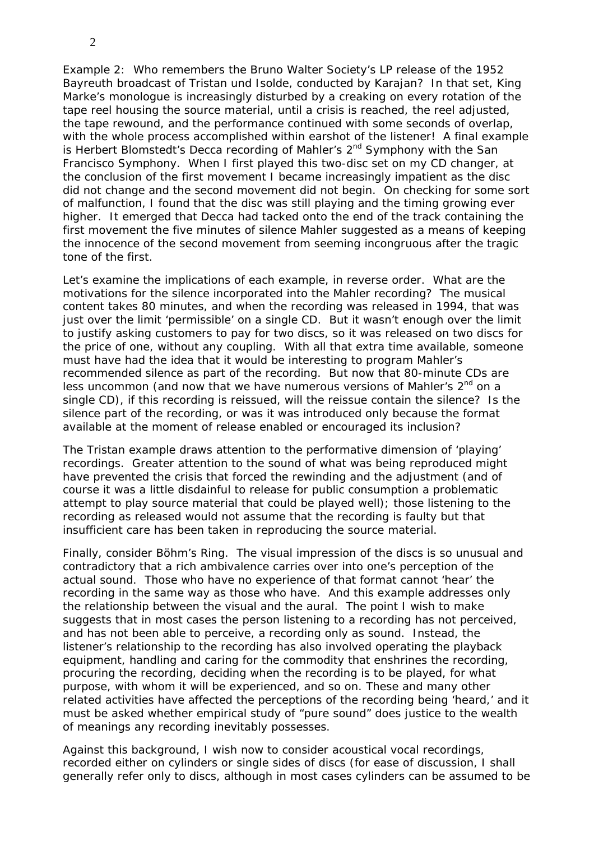2

Example 2: Who remembers the Bruno Walter Society's LP release of the 1952 Bayreuth broadcast of *Tristan und Isolde*, conducted by Karajan? In that set, King Marke's monologue is increasingly disturbed by a creaking on every rotation of the tape reel housing the source material, until a crisis is reached, the reel adjusted, the tape rewound, and the performance continued with some seconds of overlap, with the whole process accomplished within earshot of the listener! A final example is Herbert Blomstedt's Decca recording of Mahler's 2<sup>nd</sup> Symphony with the San Francisco Symphony. When I first played this two-disc set on my CD changer, at the conclusion of the first movement I became increasingly impatient as the disc did not change and the second movement did not begin. On checking for some sort of malfunction, I found that the disc was still playing and the timing growing ever higher. It emerged that Decca had tacked onto the end of the track containing the first movement the five minutes of silence Mahler suggested as a means of keeping the innocence of the second movement from seeming incongruous after the tragic tone of the first.

Let's examine the implications of each example, in reverse order. What are the motivations for the silence incorporated into the Mahler recording? The musical content takes 80 minutes, and when the recording was released in 1994, that was just over the limit 'permissible' on a single CD. But it wasn't *enough* over the limit to justify asking customers to pay for two discs, so it was released on two discs for the price of one, without any coupling. With all that extra time available, someone must have had the idea that it would be interesting to program Mahler's recommended silence as part of the recording. But now that 80-minute CDs are less uncommon (and now that we have numerous versions of Mahler's 2<sup>nd</sup> on a single CD), if this recording is reissued, will the reissue contain the silence? Is the silence part of the recording, or was it was introduced only because the format available at the moment of release enabled or encouraged its inclusion?

The *Tristan* example draws attention to the performative dimension of 'playing' recordings. Greater attention to the sound of what was being reproduced might have prevented the crisis that forced the rewinding and the adjustment (and of course it was a little disdainful to release for public consumption a problematic attempt to play source material that could be played well); those listening to the recording as released would not assume that the recording is faulty but that insufficient care has been taken in reproducing the source material.

Finally, consider Böhm's *Ring*. The visual impression of the discs is so unusual and contradictory that a rich ambivalence carries over into one's perception of the actual sound. Those who have no experience of that format cannot 'hear' the recording in the same way as those who have. And this example addresses only the relationship between the visual and the aural. The point I wish to make suggests that in most cases the person listening to a recording has not perceived, and has not been able to perceive, a recording only as sound. Instead, the listener's relationship to the recording has also involved operating the playback equipment, handling and caring for the commodity that enshrines the recording, procuring the recording, deciding when the recording is to be played, for what purpose, with whom it will be experienced, and so on. These and many other related activities have affected the perceptions of the recording being 'heard,' and it must be asked whether empirical study of "pure sound" does justice to the wealth of meanings any recording inevitably possesses.

Against this background, I wish now to consider acoustical vocal recordings, recorded either on cylinders or single sides of discs (for ease of discussion, I shall generally refer only to discs, although in most cases cylinders can be assumed to be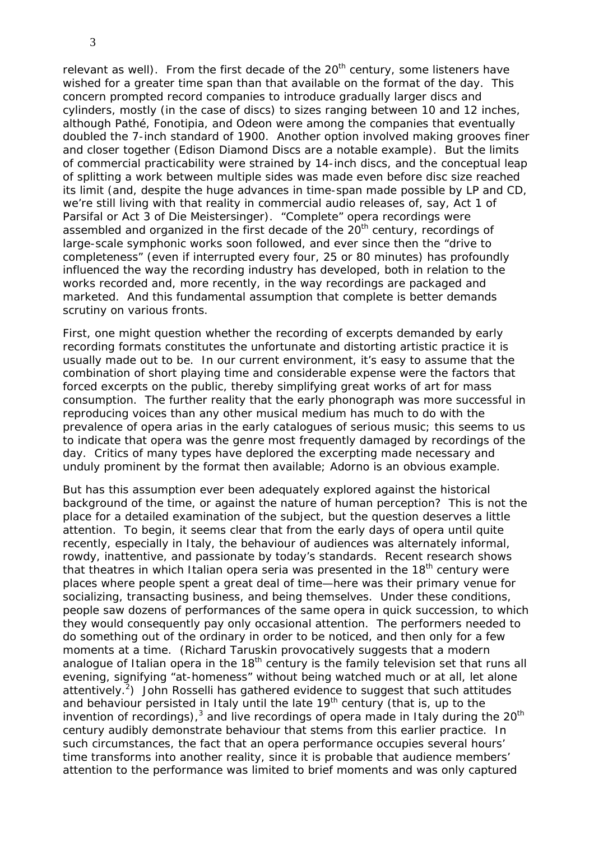relevant as well). From the first decade of the 20<sup>th</sup> century, some listeners have wished for a greater time span than that available on the format of the day. This concern prompted record companies to introduce gradually larger discs and cylinders, mostly (in the case of discs) to sizes ranging between 10 and 12 inches, although Pathé, Fonotipia, and Odeon were among the companies that eventually doubled the 7-inch standard of 1900. Another option involved making grooves finer and closer together (Edison Diamond Discs are a notable example). But the limits of commercial practicability were strained by 14-inch discs, and the conceptual leap of splitting a work between multiple sides was made even before disc size reached its limit (and, despite the huge advances in time-span made possible by LP and CD, we're still living with that reality in commercial audio releases of, say, Act 1 of *Parsifal* or Act 3 of *Die Meistersinger*). "Complete" opera recordings were assembled and organized in the first decade of the 20<sup>th</sup> century, recordings of large-scale symphonic works soon followed, and ever since then the "drive to completeness" (even if interrupted every four, 25 or 80 minutes) has profoundly influenced the way the recording industry has developed, both in relation to the works recorded and, more recently, in the way recordings are packaged and marketed. And this fundamental assumption that complete is better demands scrutiny on various fronts.

First, one might question whether the recording of excerpts demanded by early recording formats constitutes the unfortunate and distorting artistic practice it is usually made out to be. In our current environment, it's easy to assume that the combination of short playing time and considerable expense were the factors that forced excerpts on the public, thereby simplifying great works of art for mass consumption. The further reality that the early phonograph was more successful in reproducing voices than any other musical medium has much to do with the prevalence of opera arias in the early catalogues of serious music; this seems to us to indicate that opera was the genre most frequently damaged by recordings of the day. Critics of many types have deplored the excerpting made necessary and unduly prominent by the format then available; Adorno is an obvious example.

But has this assumption ever been adequately explored against the historical background of the time, or against the nature of human perception? This is not the place for a detailed examination of the subject, but the question deserves a little attention. To begin, it seems clear that from the early days of opera until quite recently, especially in Italy, the behaviour of audiences was alternately informal, rowdy, inattentive, and passionate by today's standards. Recent research shows that theatres in which Italian opera seria was presented in the  $18<sup>th</sup>$  century were places where people spent a great deal of time—here was their primary venue for socializing, transacting business, and being themselves. Under these conditions, people saw dozens of performances of the same opera in quick succession, to which they would consequently pay only occasional attention. The performers needed to do something out of the ordinary in order to be noticed, and then only for a few moments at a time. (Richard Taruskin provocatively suggests that a modern analogue of Italian opera in the  $18<sup>th</sup>$  century is the family television set that runs all evening, signifying "at-homeness" without being watched much or at all, let alone attentively.<sup>2</sup>) John Rosselli has gathered evidence to suggest that such attitudes and behaviour persisted in Italy until the late  $19<sup>th</sup>$  century (that is, up to the invention of recordings),<sup>3</sup> and live recordings of opera made in Italy during the 20<sup>th</sup> century audibly demonstrate behaviour that stems from this earlier practice. In such circumstances, the fact that an opera performance occupies several hours' time transforms into another reality, since it is probable that audience members' attention to the performance was limited to brief moments and was only captured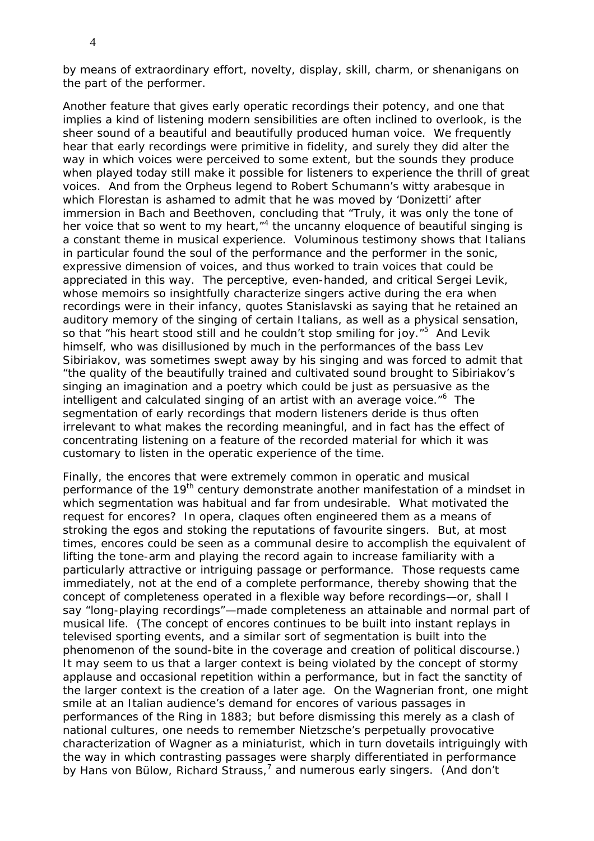by means of extraordinary effort, novelty, display, skill, charm, or shenanigans on the part of the performer.

Another feature that gives early operatic recordings their potency, and one that implies a kind of listening modern sensibilities are often inclined to overlook, is the sheer sound of a beautiful and beautifully produced human voice. We frequently hear that early recordings were primitive in fidelity, and surely they did alter the way in which voices were perceived to some extent, but the sounds they produce when played today still make it possible for listeners to experience the thrill of great voices. And from the Orpheus legend to Robert Schumann's witty arabesque in which Florestan is ashamed to admit that he was moved by 'Donizetti' after immersion in Bach and Beethoven, concluding that "Truly, it was only the tone of her voice that so went to my heart, "<sup>4</sup> the uncanny eloquence of beautiful singing is a constant theme in musical experience. Voluminous testimony shows that Italians in particular found the soul of the performance and the performer in the sonic, expressive dimension of voices, and thus worked to train voices that could be appreciated in this way. The perceptive, even-handed, and critical Sergei Levik, whose memoirs so insightfully characterize singers active during the era when recordings were in their infancy, quotes Stanislavski as saying that he retained an auditory memory of the singing of certain Italians, as well as a physical sensation, so that "his heart stood still and he couldn't stop smiling for joy."<sup>5</sup> And Levik himself, who was disillusioned by much in the performances of the bass Lev Sibiriakov, was sometimes swept away by his singing and was forced to admit that "the quality of the beautifully trained and cultivated sound brought to Sibiriakov's singing an imagination and a poetry which could be just as persuasive as the intelligent and calculated singing of an artist with an average voice."<sup>6</sup> The segmentation of early recordings that modern listeners deride is thus often irrelevant to what makes the recording meaningful, and in fact has the effect of concentrating listening on a feature of the recorded material for which it was customary to listen in the operatic experience of the time.

Finally, the encores that were extremely common in operatic and musical performance of the 19<sup>th</sup> century demonstrate another manifestation of a mindset in which segmentation was habitual and far from undesirable. What motivated the request for encores? In opera, claques often engineered them as a means of stroking the egos and stoking the reputations of favourite singers. But, at most times, encores could be seen as a communal desire to accomplish the equivalent of lifting the tone-arm and playing the record again to increase familiarity with a particularly attractive or intriguing passage or performance. Those requests came immediately, not at the end of a complete performance, thereby showing that the concept of completeness operated in a flexible way before recordings—or, shall I say "long-playing recordings"—made completeness an attainable and normal part of musical life. (The concept of encores continues to be built into instant replays in televised sporting events, and a similar sort of segmentation is built into the phenomenon of the sound-bite in the coverage and creation of political discourse.) It may seem to us that a larger context is being violated by the concept of stormy applause and occasional repetition within a performance, but in fact the sanctity of the larger context is the creation of a later age. On the Wagnerian front, one might smile at an Italian audience's demand for encores of various passages in performances of the *Ring* in 1883; but before dismissing this merely as a clash of national cultures, one needs to remember Nietzsche's perpetually provocative characterization of Wagner as a miniaturist, which in turn dovetails intriguingly with the way in which contrasting passages were sharply differentiated in performance by Hans von Bülow, Richard Strauss,<sup>7</sup> and numerous early singers. (And don't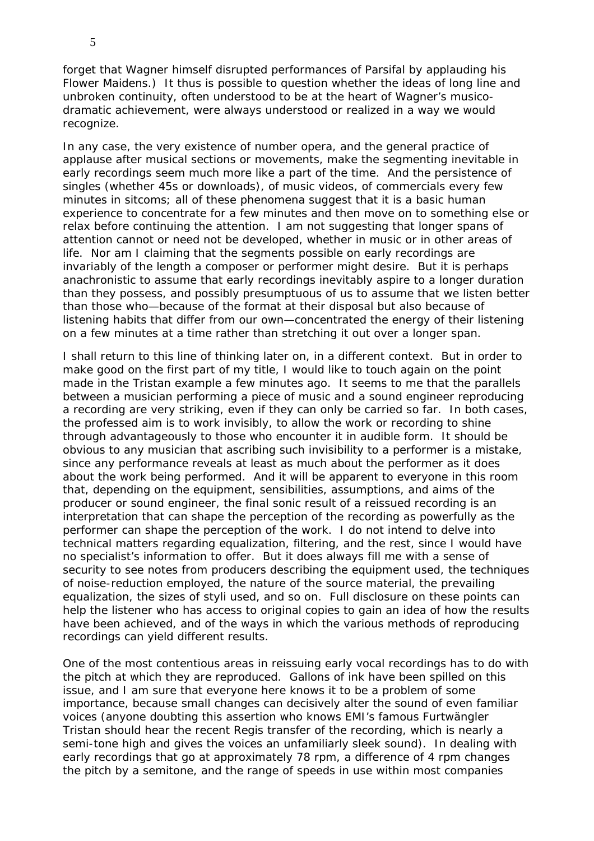forget that Wagner himself disrupted performances of *Parsifal* by applauding his Flower Maidens.) It thus is possible to question whether the ideas of long line and unbroken continuity, often understood to be at the heart of Wagner's musicodramatic achievement, were always understood or realized in a way we would recognize.

In any case, the very existence of number opera, and the general practice of applause after musical sections or movements, make the segmenting inevitable in early recordings seem much more like a part of the time. And the persistence of singles (whether 45s or downloads), of music videos, of commercials every few minutes in sitcoms; all of these phenomena suggest that it is a basic human experience to concentrate for a few minutes and then move on to something else or relax before continuing the attention. I am not suggesting that longer spans of attention cannot or need not be developed, whether in music or in other areas of life. Nor am I claiming that the segments possible on early recordings are invariably of the length a composer or performer might desire. But it is perhaps anachronistic to assume that early recordings inevitably aspire to a longer duration than they possess, and possibly presumptuous of us to assume that we listen better than those who—because of the format at their disposal but also because of listening habits that differ from our own—concentrated the energy of their listening on a few minutes at a time rather than stretching it out over a longer span.

I shall return to this line of thinking later on, in a different context. But in order to make good on the first part of my title, I would like to touch again on the point made in the *Tristan* example a few minutes ago. It seems to me that the parallels between a musician performing a piece of music and a sound engineer reproducing a recording are very striking, even if they can only be carried so far. In both cases, the professed aim is to work invisibly, to allow the work or recording to shine through advantageously to those who encounter it in audible form. It should be obvious to any musician that ascribing such invisibility to a performer is a mistake, since any performance reveals at least as much about the performer as it does about the work being performed. And it will be apparent to everyone in this room that, depending on the equipment, sensibilities, assumptions, and aims of the producer or sound engineer, the final sonic result of a reissued recording is an interpretation that can shape the perception of the recording as powerfully as the performer can shape the perception of the work. I do not intend to delve into technical matters regarding equalization, filtering, and the rest, since I would have no specialist's information to offer. But it does always fill me with a sense of security to see notes from producers describing the equipment used, the techniques of noise-reduction employed, the nature of the source material, the prevailing equalization, the sizes of styli used, and so on. Full disclosure on these points can help the listener who has access to original copies to gain an idea of how the results have been achieved, and of the ways in which the various methods of reproducing recordings can yield different results.

One of the most contentious areas in reissuing early vocal recordings has to do with the pitch at which they are reproduced. Gallons of ink have been spilled on this issue, and I am sure that everyone here knows it to be a problem of some importance, because small changes can decisively alter the sound of even familiar voices (anyone doubting this assertion who knows EMI's famous Furtwängler *Tristan* should hear the recent Regis transfer of the recording, which is nearly a semi-tone high and gives the voices an unfamiliarly sleek sound). In dealing with early recordings that go at approximately 78 rpm, a difference of 4 rpm changes the pitch by a semitone, and the range of speeds in use within most companies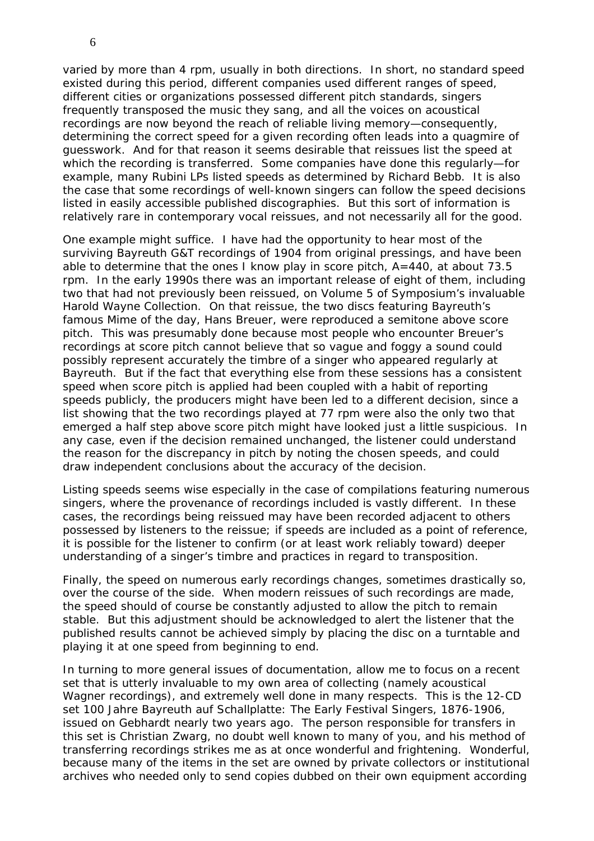varied by more than 4 rpm, usually in both directions. In short, no standard speed existed during this period, different companies used different ranges of speed, different cities or organizations possessed different pitch standards, singers frequently transposed the music they sang, and all the voices on acoustical recordings are now beyond the reach of reliable living memory—consequently, determining the correct speed for a given recording often leads into a quagmire of guesswork. And for that reason it seems desirable that reissues list the speed at which the recording is transferred. Some companies have done this regularly—for example, many Rubini LPs listed speeds as determined by Richard Bebb. It is also the case that some recordings of well-known singers can follow the speed decisions listed in easily accessible published discographies. But this sort of information is relatively rare in contemporary vocal reissues, and not necessarily all for the good.

One example might suffice. I have had the opportunity to hear most of the surviving Bayreuth G&T recordings of 1904 from original pressings, and have been able to determine that the ones I know play in score pitch, A=440, at about 73.5 rpm. In the early 1990s there was an important release of eight of them, including two that had not previously been reissued, on Volume 5 of Symposium's invaluable Harold Wayne Collection. On that reissue, the two discs featuring Bayreuth's famous Mime of the day, Hans Breuer, were reproduced a semitone above score pitch. This was presumably done because most people who encounter Breuer's recordings at score pitch cannot believe that so vague and foggy a sound could possibly represent accurately the timbre of a singer who appeared regularly at Bayreuth. But if the fact that everything else from these sessions has a consistent speed when score pitch is applied had been coupled with a habit of reporting speeds publicly, the producers might have been led to a different decision, since a list showing that the two recordings played at 77 rpm were also the only two that emerged a half step above score pitch might have looked just a little suspicious. In any case, even if the decision remained unchanged, the listener could understand the reason for the discrepancy in pitch by noting the chosen speeds, and could draw independent conclusions about the accuracy of the decision.

Listing speeds seems wise especially in the case of compilations featuring numerous singers, where the provenance of recordings included is vastly different. In these cases, the recordings being reissued may have been recorded adjacent to others possessed by listeners to the reissue; if speeds are included as a point of reference, it is possible for the listener to confirm (or at least work reliably toward) deeper understanding of a singer's timbre and practices in regard to transposition.

Finally, the speed on numerous early recordings changes, sometimes drastically so, over the course of the side. When modern reissues of such recordings are made, the speed should of course be constantly adjusted to allow the pitch to remain stable. But this adjustment should be acknowledged to alert the listener that the published results cannot be achieved simply by placing the disc on a turntable and playing it at one speed from beginning to end.

In turning to more general issues of documentation, allow me to focus on a recent set that is utterly invaluable to my own area of collecting (namely acoustical Wagner recordings), and extremely well done in many respects. This is the 12-CD set *100 Jahre Bayreuth auf Schallplatte: The Early Festival Singers, 1876-1906*, issued on Gebhardt nearly two years ago. The person responsible for transfers in this set is Christian Zwarg, no doubt well known to many of you, and his method of transferring recordings strikes me as at once wonderful and frightening. Wonderful, because many of the items in the set are owned by private collectors or institutional archives who needed only to send copies dubbed on their own equipment according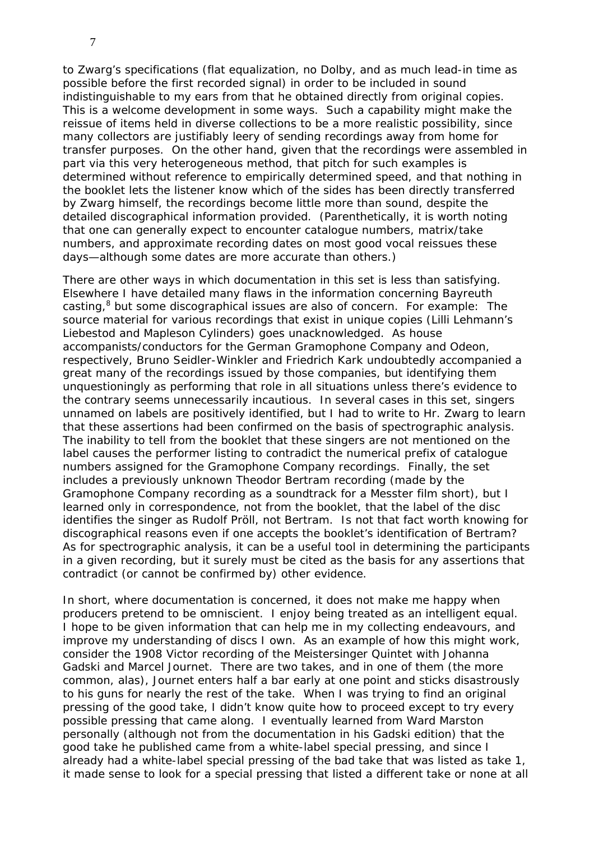to Zwarg's specifications (flat equalization, no Dolby, and as much lead-in time as possible before the first recorded signal) in order to be included in sound indistinguishable to my ears from that he obtained directly from original copies. This is a welcome development in some ways. Such a capability might make the reissue of items held in diverse collections to be a more realistic possibility, since many collectors are justifiably leery of sending recordings away from home for transfer purposes. On the other hand, given that the recordings were assembled in part via this very heterogeneous method, that pitch for such examples is determined without reference to empirically determined speed, and that nothing in the booklet lets the listener know which of the sides has been directly transferred by Zwarg himself, the recordings become little more than sound, despite the detailed discographical information provided. (Parenthetically, it is worth noting that one can generally expect to encounter catalogue numbers, matrix/take numbers, and approximate recording dates on most good vocal reissues these days—although some dates are more accurate than others.)

There are other ways in which documentation in this set is less than satisfying. Elsewhere I have detailed many flaws in the information concerning Bayreuth casting,<sup>8</sup> but some discographical issues are also of concern. For example: The source material for various recordings that exist in unique copies (Lilli Lehmann's Liebestod and Mapleson Cylinders) goes unacknowledged. As house accompanists/conductors for the German Gramophone Company and Odeon, respectively, Bruno Seidler-Winkler and Friedrich Kark undoubtedly accompanied a great many of the recordings issued by those companies, but identifying them unquestioningly as performing that role in all situations unless there's evidence to the contrary seems unnecessarily incautious. In several cases in this set, singers unnamed on labels are positively identified, but I had to write to Hr. Zwarg to learn that these assertions had been confirmed on the basis of spectrographic analysis. The inability to tell from the booklet that these singers are not mentioned on the label causes the performer listing to contradict the numerical prefix of catalogue numbers assigned for the Gramophone Company recordings. Finally, the set includes a previously unknown Theodor Bertram recording (made by the Gramophone Company recording as a soundtrack for a Messter film short), but I learned only in correspondence, not from the booklet, that the label of the disc identifies the singer as Rudolf Pröll, not Bertram. Is not that fact worth knowing for discographical reasons even if one accepts the booklet's identification of Bertram? As for spectrographic analysis, it can be a useful tool in determining the participants in a given recording, but it surely must be cited as the basis for any assertions that contradict (or cannot be confirmed by) other evidence.

In short, where documentation is concerned, it does not make me happy when producers pretend to be omniscient. I enjoy being treated as an intelligent equal. I hope to be given information that can help me in my collecting endeavours, and improve my understanding of discs I own. As an example of how this might work, consider the 1908 Victor recording of the *Meistersinger* Quintet with Johanna Gadski and Marcel Journet. There are two takes, and in one of them (the more common, alas), Journet enters half a bar early at one point and sticks disastrously to his guns for nearly the rest of the take. When I was trying to find an original pressing of the good take, I didn't know quite how to proceed except to try every possible pressing that came along. I eventually learned from Ward Marston personally (although not from the documentation in his Gadski edition) that the good take he published came from a white-label special pressing, and since I already had a white-label special pressing of the bad take that was listed as take 1, it made sense to look for a special pressing that listed a different take or none at all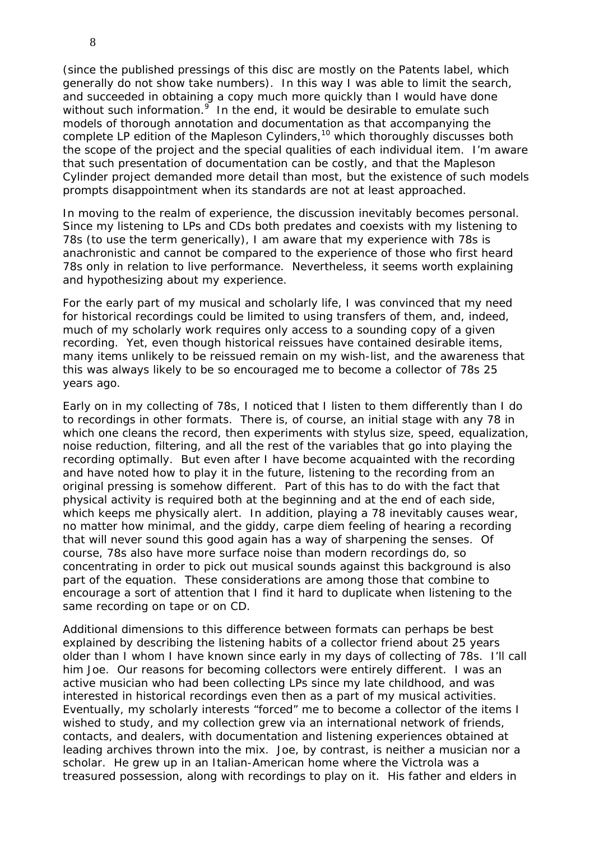(since the published pressings of this disc are mostly on the Patents label, which generally do not show take numbers). In this way I was able to limit the search, and succeeded in obtaining a copy much more quickly than I would have done without such information. $9$  In the end, it would be desirable to emulate such models of thorough annotation and documentation as that accompanying the complete LP edition of the Mapleson Cylinders,  $10$  which thoroughly discusses both the scope of the project and the special qualities of each individual item. I'm aware that such presentation of documentation can be costly, and that the Mapleson Cylinder project demanded more detail than most, but the existence of such models prompts disappointment when its standards are not at least approached.

In moving to the realm of experience, the discussion inevitably becomes personal. Since my listening to LPs and CDs both predates and coexists with my listening to 78s (to use the term generically), I am aware that my experience with 78s is anachronistic and cannot be compared to the experience of those who first heard 78s only in relation to live performance. Nevertheless, it seems worth explaining and hypothesizing about my experience.

For the early part of my musical and scholarly life, I was convinced that my need for historical recordings could be limited to using transfers of them, and, indeed, much of my scholarly work requires only access to a sounding copy of a given recording. Yet, even though historical reissues have contained desirable items, many items unlikely to be reissued remain on my wish-list, and the awareness that this was always likely to be so encouraged me to become a collector of 78s 25 years ago.

Early on in my collecting of 78s, I noticed that I listen to them differently than I do to recordings in other formats. There is, of course, an initial stage with any 78 in which one cleans the record, then experiments with stylus size, speed, equalization, noise reduction, filtering, and all the rest of the variables that go into playing the recording optimally. But even after I have become acquainted with the recording and have noted how to play it in the future, listening to the recording from an original pressing is somehow different. Part of this has to do with the fact that physical activity is required both at the beginning and at the end of each side, which keeps me physically alert. In addition, playing a 78 inevitably causes wear, no matter how minimal, and the giddy, carpe diem feeling of hearing a recording that will never sound this good again has a way of sharpening the senses. Of course, 78s also have more surface noise than modern recordings do, so concentrating in order to pick out musical sounds against this background is also part of the equation. These considerations are among those that combine to encourage a sort of attention that I find it hard to duplicate when listening to the same recording on tape or on CD.

Additional dimensions to this difference between formats can perhaps be best explained by describing the listening habits of a collector friend about 25 years older than I whom I have known since early in my days of collecting of 78s. I'll call him Joe. Our reasons for becoming collectors were entirely different. I was an active musician who had been collecting LPs since my late childhood, and was interested in historical recordings even then as a part of my musical activities. Eventually, my scholarly interests "forced" me to become a collector of the items I wished to study, and my collection grew via an international network of friends, contacts, and dealers, with documentation and listening experiences obtained at leading archives thrown into the mix. Joe, by contrast, is neither a musician nor a scholar. He grew up in an Italian-American home where the Victrola was a treasured possession, along with recordings to play on it. His father and elders in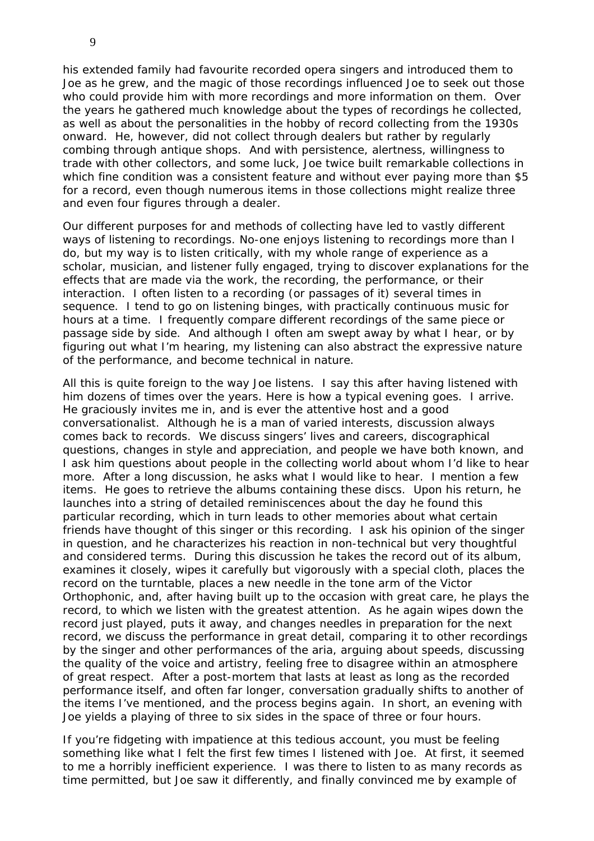his extended family had favourite recorded opera singers and introduced them to Joe as he grew, and the magic of those recordings influenced Joe to seek out those who could provide him with more recordings and more information on them. Over the years he gathered much knowledge about the types of recordings he collected, as well as about the personalities in the hobby of record collecting from the 1930s onward. He, however, did not collect through dealers but rather by regularly combing through antique shops. And with persistence, alertness, willingness to trade with other collectors, and some luck, Joe twice built remarkable collections in which fine condition was a consistent feature and without ever paying more than \$5 for a record, even though numerous items in those collections might realize three and even four figures through a dealer.

Our different purposes for and methods of collecting have led to vastly different ways of listening to recordings. No-one enjoys listening to recordings more than I do, but my way is to listen critically, with my whole range of experience as a scholar, musician, and listener fully engaged, trying to discover explanations for the effects that are made via the work, the recording, the performance, or their interaction. I often listen to a recording (or passages of it) several times in sequence. I tend to go on listening binges, with practically continuous music for hours at a time. I frequently compare different recordings of the same piece or passage side by side. And although I often am swept away by what I hear, or by figuring out what I'm hearing, my listening can also abstract the expressive nature of the performance, and become technical in nature.

All this is quite foreign to the way Joe listens. I say this after having listened with him dozens of times over the years. Here is how a typical evening goes. I arrive. He graciously invites me in, and is ever the attentive host and a good conversationalist. Although he is a man of varied interests, discussion always comes back to records. We discuss singers' lives and careers, discographical questions, changes in style and appreciation, and people we have both known, and I ask him questions about people in the collecting world about whom I'd like to hear more. After a long discussion, he asks what I would like to hear. I mention a few items. He goes to retrieve the albums containing these discs. Upon his return, he launches into a string of detailed reminiscences about the day he found this particular recording, which in turn leads to other memories about what certain friends have thought of this singer or this recording. I ask his opinion of the singer in question, and he characterizes his reaction in non-technical but very thoughtful and considered terms. During this discussion he takes the record out of its album, examines it closely, wipes it carefully but vigorously with a special cloth, places the record on the turntable, places a new needle in the tone arm of the Victor Orthophonic, and, after having built up to the occasion with great care, he plays the record, to which we listen with the greatest attention. As he again wipes down the record just played, puts it away, and changes needles in preparation for the next record, we discuss the performance in great detail, comparing it to other recordings by the singer and other performances of the aria, arguing about speeds, discussing the quality of the voice and artistry, feeling free to disagree within an atmosphere of great respect. After a post-mortem that lasts at least as long as the recorded performance itself, and often far longer, conversation gradually shifts to another of the items I've mentioned, and the process begins again. In short, an evening with Joe yields a playing of three to six sides in the space of three or four hours.

If you're fidgeting with impatience at this tedious account, you must be feeling something like what I felt the first few times I listened with Joe. At first, it seemed to me a horribly inefficient experience. I was there to listen to as many records as time permitted, but Joe saw it differently, and finally convinced me by example of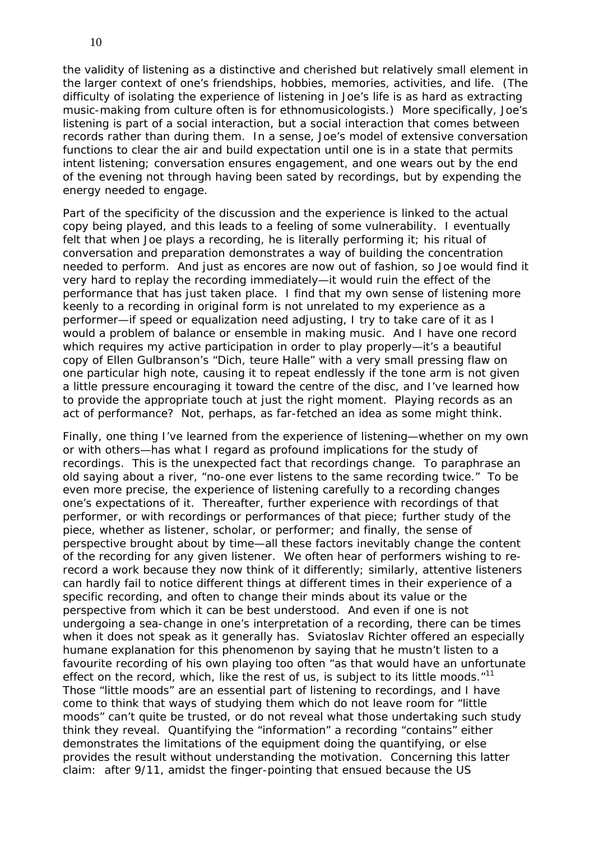the validity of listening as a distinctive and cherished but relatively small element in the larger context of one's friendships, hobbies, memories, activities, and life. (The difficulty of isolating the experience of listening in Joe's life is as hard as extracting music-making from culture often is for ethnomusicologists.) More specifically, Joe's listening is part of a social interaction, but a social interaction that comes between records rather than during them. In a sense, Joe's model of extensive conversation functions to clear the air and build expectation until one is in a state that permits intent listening; conversation ensures engagement, and one wears out by the end of the evening not through having been sated by recordings, but by expending the energy needed to engage.

Part of the specificity of the discussion and the experience is linked to the actual copy being played, and this leads to a feeling of some vulnerability. I eventually felt that when Joe plays a recording, he is literally performing it; his ritual of conversation and preparation demonstrates a way of building the concentration needed to perform. And just as encores are now out of fashion, so Joe would find it very hard to replay the recording immediately—it would ruin the effect of the performance that has just taken place. I find that my own sense of listening more keenly to a recording in original form is not unrelated to my experience as a performer—if speed or equalization need adjusting, I try to take care of it as I would a problem of balance or ensemble in making music. And I have one record which requires my active participation in order to play properly—it's a beautiful copy of Ellen Gulbranson's "Dich, teure Halle" with a very small pressing flaw on one particular high note, causing it to repeat endlessly if the tone arm is not given a little pressure encouraging it toward the centre of the disc, and I've learned how to provide the appropriate touch at just the right moment. Playing records as an act of performance? Not, perhaps, as far-fetched an idea as some might think.

Finally, one thing I've learned from the experience of listening—whether on my own or with others—has what I regard as profound implications for the study of recordings. This is the unexpected fact that recordings change. To paraphrase an old saying about a river, "no-one ever listens to the same recording twice." To be even more precise, the experience of listening carefully to a recording changes one's expectations of it. Thereafter, further experience with recordings of that performer, or with recordings or performances of that piece; further study of the piece, whether as listener, scholar, or performer; and finally, the sense of perspective brought about by time—all these factors inevitably change the content of the recording for any given listener. We often hear of performers wishing to rerecord a work because they now think of it differently; similarly, attentive listeners can hardly fail to notice different things at different times in their experience of a specific recording, and often to change their minds about its value or the perspective from which it can be best understood. And even if one is not undergoing a sea-change in one's interpretation of a recording, there can be times when it does not speak as it generally has. Sviatoslav Richter offered an especially humane explanation for this phenomenon by saying that he mustn't listen to a favourite recording of his own playing too often "as that would have an unfortunate effect on the record, which, like the rest of us, is subject to its little moods."<sup>11</sup> Those "little moods" are an essential part of listening to recordings, and I have come to think that ways of studying them which do not leave room for "little moods" can't quite be trusted, or do not reveal what those undertaking such study think they reveal. Quantifying the "information" a recording "contains" either demonstrates the limitations of the equipment doing the quantifying, or else provides the result without understanding the motivation. Concerning this latter claim: after 9/11, amidst the finger-pointing that ensued because the US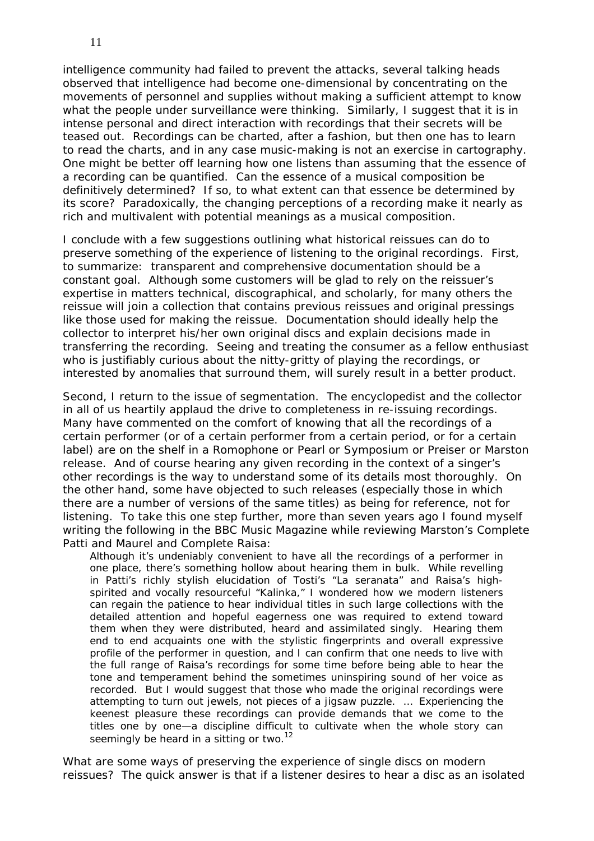intelligence community had failed to prevent the attacks, several talking heads observed that intelligence had become one-dimensional by concentrating on the movements of personnel and supplies without making a sufficient attempt to know what the people under surveillance were thinking. Similarly, I suggest that it is in intense personal and direct interaction with recordings that their secrets will be teased out. Recordings can be charted, after a fashion, but then one has to learn to read the charts, and in any case music-making is not an exercise in cartography. One might be better off learning how one listens than assuming that the essence of a recording can be quantified. Can the essence of a musical composition be definitively determined? If so, to what extent can that essence be determined by its score? Paradoxically, the changing perceptions of a recording make it nearly as rich and multivalent with potential meanings as a musical composition.

I conclude with a few suggestions outlining what historical reissues can do to preserve something of the experience of listening to the original recordings. First, to summarize: transparent and comprehensive documentation should be a constant goal. Although some customers will be glad to rely on the reissuer's expertise in matters technical, discographical, and scholarly, for many others the reissue will join a collection that contains previous reissues and original pressings like those used for making the reissue. Documentation should ideally help the collector to interpret his/her own original discs and explain decisions made in transferring the recording. Seeing and treating the consumer as a fellow enthusiast who is justifiably curious about the nitty-gritty of playing the recordings, or interested by anomalies that surround them, will surely result in a better product.

Second, I return to the issue of segmentation. The encyclopedist and the collector in all of us heartily applaud the drive to completeness in re-issuing recordings. Many have commented on the comfort of knowing that all the recordings of a certain performer (or of a certain performer from a certain period, or for a certain label) are on the shelf in a Romophone or Pearl or Symposium or Preiser or Marston release. And of course hearing any given recording in the context of a singer's other recordings is the way to understand some of its details most thoroughly. On the other hand, some have objected to such releases (especially those in which there are a number of versions of the same titles) as being for reference, not for listening. To take this one step further, more than seven years ago I found myself writing the following in the *BBC Music Magazine* while reviewing Marston's Complete Patti and Maurel and Complete Raisa:

Although it's undeniably convenient to have all the recordings of a performer in one place, there's something hollow about hearing them in bulk. While revelling in Patti's richly stylish elucidation of Tosti's "La seranata" and Raisa's highspirited and vocally resourceful "Kalinka," I wondered how we modern listeners can regain the patience to hear individual titles in such large collections with the detailed attention and hopeful eagerness one was required to extend toward them when they were distributed, heard and assimilated singly. Hearing them end to end acquaints one with the stylistic fingerprints and overall expressive profile of the performer in question, and I can confirm that one needs to live with the full range of Raisa's recordings for some time before being able to hear the tone and temperament behind the sometimes uninspiring sound of her voice as recorded. But I would suggest that those who made the original recordings were attempting to turn out jewels, not pieces of a jigsaw puzzle. … Experiencing the keenest pleasure these recordings can provide demands that we come to the titles one by one—a discipline difficult to cultivate when the whole story can seemingly be heard in a sitting or two.<sup>12</sup>

What are some ways of preserving the experience of single discs on modern reissues? The quick answer is that if a listener desires to hear a disc as an isolated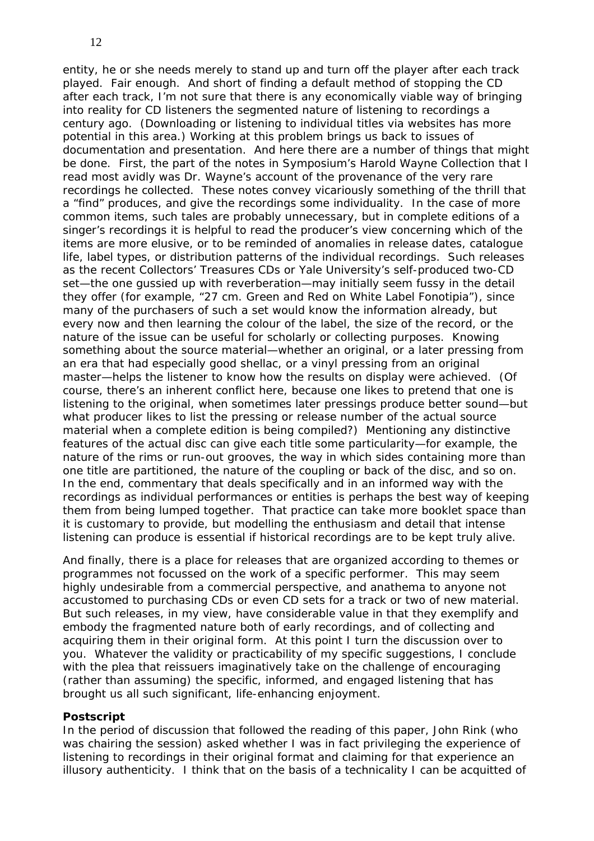entity, he or she needs merely to stand up and turn off the player after each track played. Fair enough. And short of finding a default method of stopping the CD after each track, I'm not sure that there is any economically viable way of bringing into reality for CD listeners the segmented nature of listening to recordings a century ago. (Downloading or listening to individual titles via websites has more potential in this area.) Working at this problem brings us back to issues of documentation and presentation. And here there are a number of things that might be done. First, the part of the notes in Symposium's Harold Wayne Collection that I read most avidly was Dr. Wayne's account of the provenance of the very rare recordings he collected. These notes convey vicariously something of the thrill that a "find" produces, and give the recordings some individuality. In the case of more common items, such tales are probably unnecessary, but in complete editions of a singer's recordings it is helpful to read the producer's view concerning which of the items are more elusive, or to be reminded of anomalies in release dates, catalogue life, label types, or distribution patterns of the individual recordings. Such releases as the recent Collectors' Treasures CDs or Yale University's self-produced two-CD set—the one gussied up with reverberation—may initially seem fussy in the detail they offer (for example, "27 cm. Green and Red on White Label Fonotipia"), since many of the purchasers of such a set would know the information already, but every now and then learning the colour of the label, the size of the record, or the nature of the issue can be useful for scholarly or collecting purposes. Knowing something about the source material—whether an original, or a later pressing from an era that had especially good shellac, or a vinyl pressing from an original master—helps the listener to know how the results on display were achieved. (Of course, there's an inherent conflict here, because one likes to pretend that one is listening to the original, when sometimes later pressings produce better sound—but what producer likes to list the pressing or release number of the actual source material when a complete edition is being compiled?) Mentioning any distinctive features of the actual disc can give each title some particularity—for example, the nature of the rims or run-out grooves, the way in which sides containing more than one title are partitioned, the nature of the coupling or back of the disc, and so on. In the end, commentary that deals specifically and in an informed way with the recordings as individual performances or entities is perhaps the best way of keeping them from being lumped together. That practice can take more booklet space than it is customary to provide, but modelling the enthusiasm and detail that intense listening can produce is essential if historical recordings are to be kept truly alive.

And finally, there is a place for releases that are organized according to themes or programmes not focussed on the work of a specific performer. This may seem highly undesirable from a commercial perspective, and anathema to anyone not accustomed to purchasing CDs or even CD sets for a track or two of new material. But such releases, in my view, have considerable value in that they exemplify and embody the fragmented nature both of early recordings, and of collecting and acquiring them in their original form. At this point I turn the discussion over to you. Whatever the validity or practicability of my specific suggestions, I conclude with the plea that reissuers imaginatively take on the challenge of encouraging (rather than assuming) the specific, informed, and engaged listening that has brought us all such significant, life-enhancing enjoyment.

## **Postscript**

In the period of discussion that followed the reading of this paper, John Rink (who was chairing the session) asked whether I was in fact privileging the experience of listening to recordings in their original format and claiming for that experience an illusory authenticity. I think that on the basis of a technicality I can be acquitted of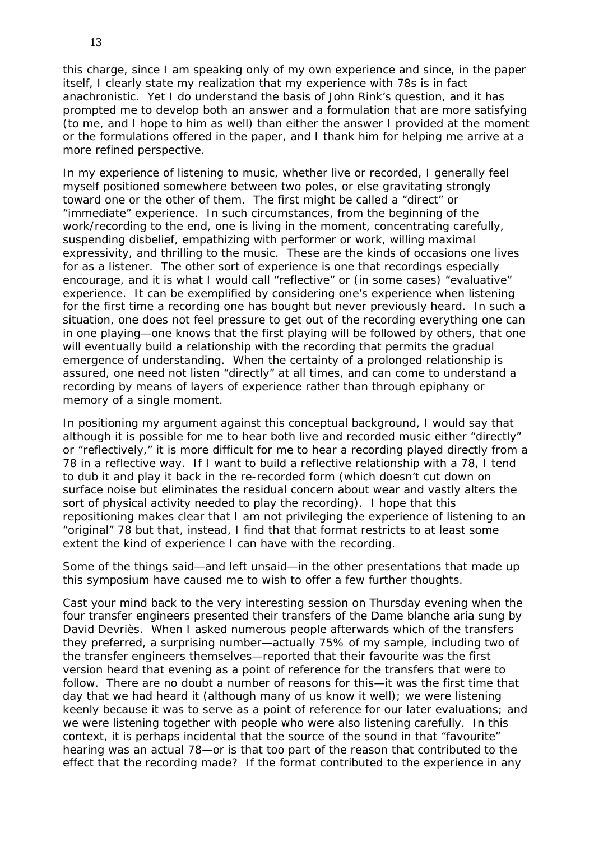this charge, since I am speaking only of my own experience and since, in the paper itself, I clearly state my realization that my experience with 78s is in fact anachronistic. Yet I do understand the basis of John Rink's question, and it has prompted me to develop both an answer and a formulation that are more satisfying (to me, and I hope to him as well) than either the answer I provided at the moment or the formulations offered in the paper, and I thank him for helping me arrive at a more refined perspective.

In my experience of listening to music, whether live or recorded, I generally feel myself positioned somewhere between two poles, or else gravitating strongly toward one or the other of them. The first might be called a "direct" or "immediate" experience. In such circumstances, from the beginning of the work/recording to the end, one is living in the moment, concentrating carefully, suspending disbelief, empathizing with performer or work, willing maximal expressivity, and thrilling to the music. These are the kinds of occasions one lives for as a listener. The other sort of experience is one that recordings especially encourage, and it is what I would call "reflective" or (in some cases) "evaluative" experience. It can be exemplified by considering one's experience when listening for the first time a recording one has bought but never previously heard. In such a situation, one does not feel pressure to get out of the recording everything one can in one playing—one knows that the first playing will be followed by others, that one will eventually build a relationship with the recording that permits the gradual emergence of understanding. When the certainty of a prolonged relationship is assured, one need not listen "directly" at all times, and can come to understand a recording by means of layers of experience rather than through epiphany or memory of a single moment.

In positioning my argument against this conceptual background, I would say that although it is possible for me to hear both live and recorded music either "directly" or "reflectively," it is more difficult for me to hear a recording played directly from a 78 in a reflective way. If I want to build a reflective relationship with a 78, I tend to dub it and play it back in the re-recorded form (which doesn't cut down on surface noise but eliminates the residual concern about wear and vastly alters the sort of physical activity needed to play the recording). I hope that this repositioning makes clear that I am not privileging the experience of listening to an "original" 78 but that, instead, I find that that format restricts to at least some extent the kind of experience I can have with the recording.

Some of the things said—and left unsaid—in the other presentations that made up this symposium have caused me to wish to offer a few further thoughts.

Cast your mind back to the very interesting session on Thursday evening when the four transfer engineers presented their transfers of the *Dame blanche* aria sung by David Devriès. When I asked numerous people afterwards which of the transfers they preferred, a surprising number—actually 75% of my sample, including two of the transfer engineers themselves—reported that their favourite was the first version heard that evening as a point of reference for the transfers that were to follow. There are no doubt a number of reasons for this—it was the first time that day that we had heard it (although many of us know it well); we were listening keenly because it was to serve as a point of reference for our later evaluations; and we were listening together with people who were also listening carefully. In this context, it is perhaps incidental that the source of the sound in that "favourite" hearing was an actual 78—or is that too part of the reason that contributed to the effect that the recording made? If the format contributed to the experience in any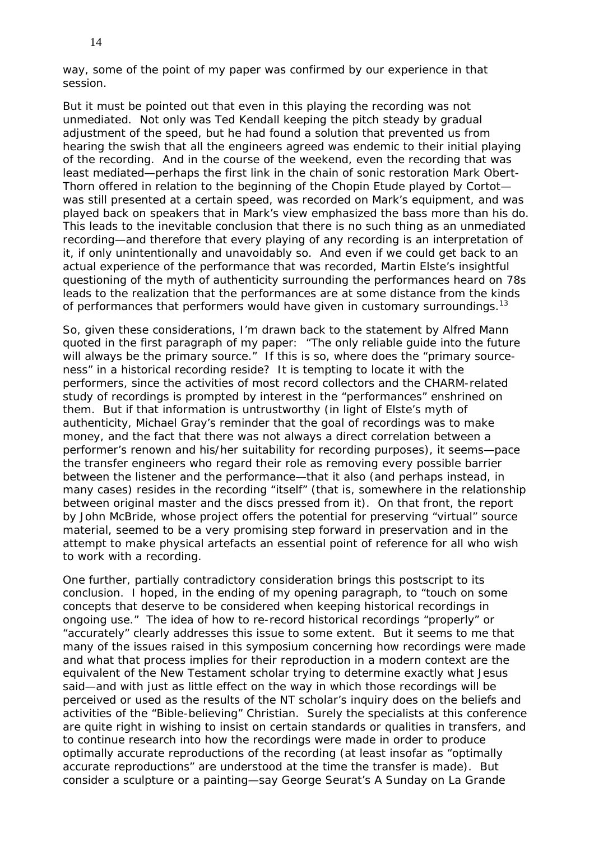way, some of the point of my paper was confirmed by our experience in that session.

But it must be pointed out that even in this playing the recording was not unmediated. Not only was Ted Kendall keeping the pitch steady by gradual adjustment of the speed, but he had found a solution that prevented us from hearing the swish that all the engineers agreed was endemic to their initial playing of the recording. And in the course of the weekend, even the recording that was least mediated—perhaps the first link in the chain of sonic restoration Mark Obert-Thorn offered in relation to the beginning of the Chopin Etude played by Cortot was still presented at a certain speed, was recorded on Mark's equipment, and was played back on speakers that in Mark's view emphasized the bass more than his do. This leads to the inevitable conclusion that there is no such thing as an unmediated recording—and therefore that every playing of any recording is an interpretation of it, if only unintentionally and unavoidably so. And even if we could get back to an actual experience of the performance that was recorded, Martin Elste's insightful questioning of the myth of authenticity surrounding the performances heard on 78s leads to the realization that the performances are at some distance from the kinds of performances that performers would have given in customary surroundings.<sup>13</sup>

So, given these considerations, I'm drawn back to the statement by Alfred Mann quoted in the first paragraph of my paper: "The only reliable guide into the future will always be the primary source." If this is so, where does the "primary sourceness" in a historical recording reside? It is tempting to locate it with the performers, since the activities of most record collectors and the CHARM-related study of recordings is prompted by interest in the "performances" enshrined on them. But if that information is untrustworthy (in light of Elste's myth of authenticity, Michael Gray's reminder that the goal of recordings was to make money, and the fact that there was not always a direct correlation between a performer's renown and his/her suitability for recording purposes), it seems—*pace* the transfer engineers who regard their role as removing every possible barrier between the listener and the performance—that it also (and perhaps instead, in many cases) resides in the recording "itself" (that is, somewhere in the relationship between original master and the discs pressed from it). On that front, the report by John McBride, whose project offers the potential for preserving "virtual" source material, seemed to be a very promising step forward in preservation and in the attempt to make physical artefacts an essential point of reference for all who wish to work with a recording.

One further, partially contradictory consideration brings this postscript to its conclusion. I hoped, in the ending of my opening paragraph, to "touch on some concepts that deserve to be considered when keeping historical recordings in ongoing use." The idea of how to re-record historical recordings "properly" or "accurately" clearly addresses this issue to some extent. But it seems to me that many of the issues raised in this symposium concerning how recordings were made and what that process implies for their reproduction in a modern context are the equivalent of the New Testament scholar trying to determine exactly what Jesus said—and with just as little effect on the way in which those recordings will be perceived or used as the results of the NT scholar's inquiry does on the beliefs and activities of the "Bible-believing" Christian. Surely the specialists at this conference are quite right in wishing to insist on certain standards or qualities in transfers, and to continue research into how the recordings were made in order to produce optimally accurate reproductions of the recording (at least insofar as "optimally accurate reproductions" are understood at the time the transfer is made). But consider a sculpture or a painting—say George Seurat's *A Sunday on La Grande*